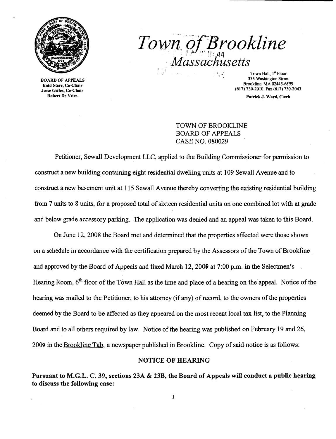

BOARD OF APPEALS Enid Starr, Co-Cilair Jesse Geller, Co-Chair Robert De Vries

 $I$  over  $Q$ , *D<sub>l</sub>* ookline *, ,Massachusetts* 

Town Hall, I" Floor 333 Washington Street Brookline, MA 02445-6899 (617) 730-2010 Fax (617) 730-2043

Patrick J. Ward, Clerk

## TOWN OF BROOKLINE BOARD OF APPEALS CASE NO. 080029

Petitioner, Sewall Development LLC, applied to the Building Commissioner for permission to construct a new building containing eight residential dwelling units at 109 Sewall Avenue and to construct a new basement unit at 115 Sewall Avenue thereby converting the existing residential building from 7 units to 8 units, for a proposed total of sixteen residential units on one combined lot with at grade and below grade accessory parking. The application was denied and an appeal was taken to this Board.

On June 12,2008 the Board met and determined that the properties affected were those shown on a schedule in accordance with the certification prepared by the Assessors of the Town of Brookline and approved by the Board of Appeals and fixed March 12, 2009 at 7:00 p.m. in the Selectmen's Hearing Room, 6<sup>th</sup> floor of the Town Hall as the time and place of a hearing on the appeal. Notice of the hearing was mailed to the Petitioner, to his attorney (if any) of record, to the owners of the properties deemed by the Board to be affected as they appeared on the most recent local tax list, to the Planning Board and to all others required by law. Notice of the hearing was published on February 19 and 26, 2009 in the Brookline Tab, a newspaper published in Brookline. Copy of said notice is as follows:

### NOTICE OF HEARING

Pursuant to M.G.L. C. 39, sections 23A & 23B, the Board of Appeals will conduct a public hearing to discuss the following case: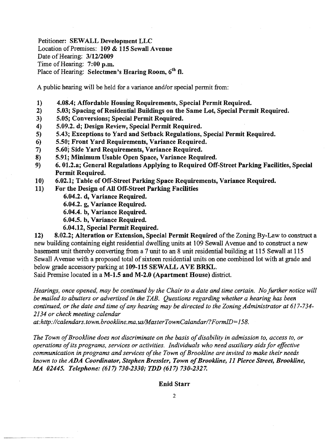Petitioner: SEWALL Development LLC Location of Premises: 109 & 115 Sewall Avenue Date of Hearing: 3/12/2009 Time of Hearing; 7:00 p.m. Place of Hearing: Selectmen's Hearing Room,  $6<sup>th</sup>$  fl.

A public hearing will be held for a variance and/or special permit from:

- 1) 4.08.4; Affordable Housing Requirements, Special Permit Required.
- 2) 5.03; Spacing of Residential Buildings on the Same Lot, Special Permit Required.
- 3) 5.05; Conversions; Special Permit Required.
- 4) 5.09.2. d; Design Review, Special Permit Required.
- 5) 5.43; Exceptions to Yard and Setback Regulations, Special Permit Required.
- 6) 5.50; Front Yard Requirements, Variance Required.
- 7) 5.60; Side Yard Requirements, Variance Required.
- 8) 5.91; Minimum Usable Open Space, Variance Required.
- 9) 6. 01.2.a; General Regulations Applying to Required Off-Street Parking Facilities, Special Permit Required.
- 10) 6.02.1; Table of Off-Street Parking Space Requirements, Variance Required.
- 11) For the Design of All Off-Street Parking Facilities
	- 6.04.2. d, Variance Required.
	- 6.04.2. g, Variance Required.
	- 6.04.4. b, Variance Required.
	- 6.04.5. b, Variance Required.
	- 6.04.12, Special Permit Required.

12) 8.02.2; Alteration or Extension, Special Permit Required of the Zoning By-Law to construct a new building containing eight residential dwelling units at 109 Sewall A venue and to construct a new basement unit thereby converting from a 7 unit to an 8 unit residential building at 115 Sewall at 115 Sewall Avenue with a proposed total of sixteen residential units on one combined lot with at grade and below grade accessory parking at 109-115 SEWALL AVE BRKL.

Said Premise located in a M-1.5 and M-2.0 (Apartment House) district.

*Hearings, once opened, may be continued by the Chair to a date and time certain. No further notice will be mailed to abutters or advertised in the TAB. Questions regarding whether a hearing has been continued, or the date and time ofany hearing may be directed to the Zoning Administrator at 617-734 2134 or check meeting calendar* 

*at.·http://calendars.town.brookline.ma.usIMasterTownCalandarl?FormID=158.* 

The Town of Brookline does not discriminate on the basis of disability in admission to, access to, or *operations ofits programs, services or activities. Individuals who need auxiliary aids for effective communication in programs and services of the Town of Brookline are invited to make their needs known to the* ADA *Coordinator, Stephen Bressler, Town ofBrookline,* 11 *Pierce Street, Brookline, MA 02445. Telephone:* (617) *730-2330; TDD* (617) *730-2327.* 

### Enid Starr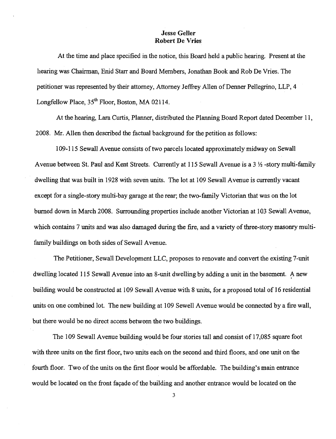## Jesse Geller Robert De Vries

At the time and place specified in the notice, this Board held a public hearing. Present at the hearing was Chairman, Enid Starr and Board Members, Jonathan Book and Rob De Vries. The petitioner was represented by their attorney, Attorney Jeffrey Allen of Denner Pellegrino, LLP, 4 Longfellow Place,  $35<sup>th</sup>$  Floor, Boston, MA 02114.

At the hearing, Lara Curtis, Planner, distributed the Planning Board Report dated December II, 2008. Mr. Allen then described the factual background for the petition as follows:

109-115 Sewall Avenue consists oftwo parcels located approximately midway on Sewall Avenue between St. Paul and Kent Streets. Currently at 115 Sewall Avenue is a  $3\frac{1}{2}$ -story multi-family dwelling that was built in 1928 with seven units. The lot at 109 Sewall A venue is currently vacant except for a single-story multi-bay garage at the rear; the two-family Victorian that was on the lot burned down in March 2008. Surrounding properties include another Victorian at 103 Sewall Avenue, which contains 7 units and was also damaged during the fire, and a variety of three-story masonry multifamily buildings on both sides of Sewall Avenue.

The Petitioner, Sewall Development LLC, proposes to renovate and convert the existing 7-unit dwelling located 115 Sewall Avenue into an 8-unit dwelling by adding a unit in the basement. A new building would be constructed at 109 Sewall Avenue with 8 units, for a proposed total of 16 residential units on one combined lot. The new building at 109 Sewell Avenue would be connected by a fire wall, but there would be no direct access between the two buildings.

The 109 Sewall Avenue building would be four stories tall and consist of 17,085 square foot with three units on the first floor, two units each on the second and third floors, and one unit on the fourth floor. Two of the units on the first floor would be affordable. The building's main entrance would be located on the front façade of the building and another entrance would be located on the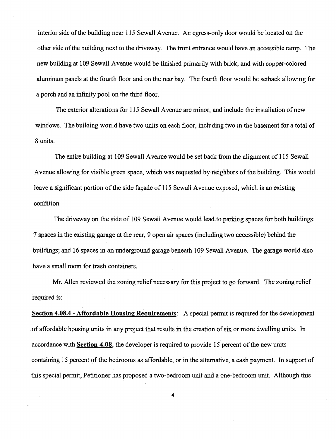interior side of the building near 115 Sewall Avenue. An egress-only door would be located on the other side of the building next to the driveway. The front entrance would have an accessible ramp. The new building at 109 Sewall Avenue would be finished primarily with brick, and with copper-colored aluminum panels at the fourth floor and on the rear bay. The fourth floor would be setback allowing for a porch and an infinity pool on the third floor.

The exterior alterations for 115 Sewall Avenue are minor, and include the installation of new windows. The building would have two units on each floor, including two in the basement for a total of 8 units.

The entire building at 109 Sewall A venue would be set back from the alignment of 115 Sewall Avenue allowing for visible green space, which was requested by neighbors of the building. This would leave a significant portion of the side facade of 115 Sewall Avenue exposed, which is an existing condition.

The driveway on the side of 109 Sewall Avenue would lead to parking spaces for both buildings: 7 spaces in the existing garage at the rear, 9 open air spaces (including two accessible) behind the buildings; and 16 spaces in an underground garage beneath 109 Sewall Avenue. The garage would also have a small room for trash containers.

Mr. Allen reviewed the zoning relief necessary for this project to go forward. The zoning relief required is:

**Section 4.08.4 - Affordable Housing Requirements:** A special permit is required for the development of affordable housing units in any project that results in the creation of six or more dwelling units. In . accordance with **Section 4.08,** the developer is required to provide 15 percent of the new units containing 15 percent of the bedrooms as affordable, or in the alternative, a cash payment. In support of this special permit, Petitioner has proposed a two-bedroom unit and a one-bedroom unit. Although this

4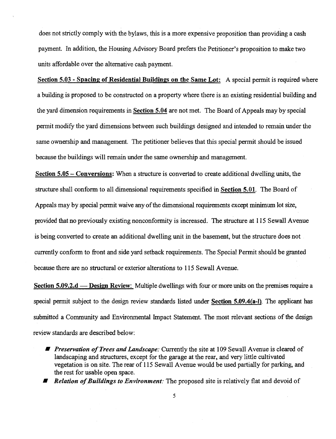does not strictly comply with the bylaws, this is a more expensive proposition than providing a cash payment. In addition, the Housing Advisory Board prefers the Petitioner's proposition to make two. units affordable over the alternative cash payment.

Section 5.03 - Spacing of Residential Buildings on the Same Lot: A special permit is required where a building is proposed to be constructed on a property where there is an existing residential building and the yard dimension requirements in Section 5.04 are not met. The Board of Appeals may by special permit modify the yard dimensions between such buildings designed and intended to remain under the same ownership and management. The petitioner believes that this special permit should be issued because the buildings will remain under the same ownership and management.

Section  $5.05$  – Conversions: When a structure is converted to create additional dwelling units, the structure shall conform to all dimensional requirements specified in Section 5.01. The Board of Appeals may by special permit waive any of the dimensional requirements except minimum lot size, provided that no previously existing nonconformity is increased. The structure at 115 Sewall Avenue is being converted to create an additional dwelling unit in the basement, but the structure does not currently conform to front and side yard setback requirements. The Special Permit should be granted because there are no structural or exterior alterations to 115 Sewall Avenue.

Section  $5.09.2.d$  — Design Review: Multiple dwellings with four or more units on the premises require a special permit subject to the design review standards listed under **Section 5.09.4(a-l)**. The applicant has submitted a Community and Environmental Impact Statement. The most relevant sections of the design review standards are described below:

- *Preservation of Trees and Landscape:* Currently the site at 109 Sewall Avenue is cleared of landscaping and structures, except for the garage at the rear, and very little cultivated vegetation is on site. The rear of 115 Sewall Avenue would be used partially for parking, and the rest for usable open space.
- *Relation of Buildings to Environment:* The proposed site is relatively flat and devoid of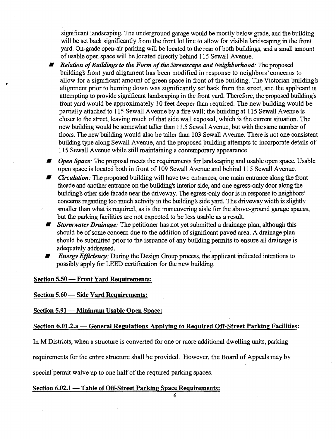significant landscaping. The underground garage would be mostly below grade, and the building will be set back significantly from the front lot line to allow for visible landscaping in the front yard. On-grade open-air parking will be located to the rear of both buildings, and a small amount of usable open space will be located directly behind 115 Sewall Avenue.

*•• Relation of Buildings to the Form of the Streetscape and Neighborhood:* **The proposed** building's front yard alignment has been modified in response to neighbors' concerns to allow for a significant amount of green space in front of the building. The Victorian building's alignment prior to burning down was significantly set back from the street, and the applicant is attempting to provide significant landscaping in the front yard. Therefore, the proposed building'S front yard would be approximately 10 feet deeper than required. The new building would be partially attached to 115 Sewall Avenue by a fire wall; the building at 115 Sewall Avenue is closer to the street, leaving much of that side wall exposed, which is the current situation. The new building would be somewhat taller than 11.5 Sewall Avenue, but with the same number of floors. The new building would also be taller than 103 Sewall Avenue. There is not one consistent building type along Sewall A venue, and the proposed building attempts to incorporate details of 115 Sewall Avenue while still maintaining a contemporary appearance.

*• Open Space:* The proposal meets the requirements for landscaping and usable open space. Usable open space is located both in front of 109 Sewall Avenue and behind 115 Sewall A venue.

- *Circulation:* The proposed building will have two entrances, one main entrance along the front facade and another entrance on the building's interior side, and one egress-only door along the building's other side facade near the driveway. The egress-only door is in response to neighbors' concerns regarding too much activity in the building's side yard. The driveway width is slightly smaller than what is required, as is the maneuvering aisle for the above-ground garage spaces, but the parking facilities are not expected to be less usable as a result
- *FFFER Stormwater Drainage:* The petitioner has not yet submitted a drainage plan, although this should be of some concern due to the addition of significant paved area. A drainage plan should be submitted prior to the issuance of any building permits to ensure all drainage is adequately addressed.
- *Energy Efficiency:* During the Design Group process, the applicant indicated intentions to possibly apply for LEED certification for the new building.

Section 5.50 - Front Yard Requirements:

•

Section 5.60 - Side Yard Requirements:

Section 5.91 - Minimum Usable Open Space:

# Section 6.01.2.a — General Regulations Applying to Required Off-Street Parking Facilities:

In M Districts, when a structure is converted for one or more additional dwelling units, parking

requirements for the entire structure shall be provided. However, the Board of Appeals may by

special permit waive up to one half of the required parking spaces.

## Section 6.02.1 - Table of Off-Street Parking Space Requirements:

6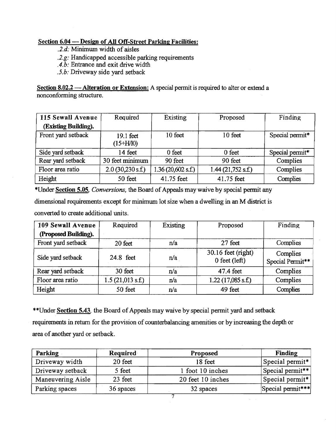# Section 6.04 - Design of All Off-Street Parking Facilities:

*.2.d:* Minimum width of aisles

*.2.g:* Handicapped accessible parking requirements

*A.b:* Entrance and exit drive width

*.5.b:* Driveway side yard setback

Section 8.02.2 — Alteration or Extension: A special permit is required to alter or extend a nonconforming structure.

| 115 Sewall Avenue    | Required                 | Existing          | Proposed          | Finding         |
|----------------------|--------------------------|-------------------|-------------------|-----------------|
| (Existing Building). |                          |                   |                   |                 |
| Front yard setback   | 19.1 feet<br>$(15+H/10)$ | 10 feet           | 10 feet           | Special permit* |
| Side yard setback    | 14 feet                  | $0$ feet          | $0$ feet          | Special permit* |
| Rear yard setback    | 30 feet minimum          | 90 feet           | 90 feet           | Complies        |
| Floor area ratio     | $2.0$ (30,230 s.f.)      | 1.36(20,602 s.f.) | 1.44(21,752 s.f.) | Complies        |
| Height               | 50 feet                  | 41.75 feet        | 41.75 feet        | Complies        |

\*Under Section 5.05, *Conversions*, the Board of Appeals may waive by special permit any

dimensional requirements except for minimum lot size when a dwelling in an M district is

converted to create additional units.

| 109 Sewall Avenue    | Required         | Existing | Proposed                                | Finding                      |
|----------------------|------------------|----------|-----------------------------------------|------------------------------|
| (Proposed Building). |                  |          |                                         |                              |
| Front yard setback   | 20 feet          | n/a      | 27 feet                                 | Complies                     |
| Side yard setback    | 24.8 feet        | n/a      | $30.16$ feet (right)<br>$0$ feet (left) | Complies<br>Special Permit** |
| Rear yard setback    | 30 feet          | n/a      | 47.4 feet                               | Complies                     |
| Floor area ratio     | 1.5(21,013 s.f.) | n/a      | $1.22(17,085 \text{ s.f.})$             | Complies                     |
| Height               | 50 feet          | n/a      | 49 feet                                 | Complies                     |

\*\*Under Section 5.43, the Board of Appeals may waive by special permit yard and setback requirements in return for the provision of counterbalancing amenities or by increasing the depth or area of another yard or setback.

| Parking           | Required  | Proposed          | Finding           |
|-------------------|-----------|-------------------|-------------------|
| Driveway width    | 20 feet   | 18 feet           | Special permit*   |
| Driveway setback  | 5 feet    | 1 foot 10 inches  | Special permit**  |
| Maneuvering Aisle | 23 feet   | 20 feet 10 inches | Special permit*   |
| Parking spaces    | 36 spaces | 32 spaces         | Special permit*** |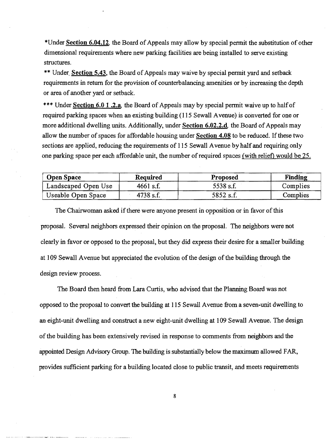\*Under Section 6.04.12. the Board of Appeals may allow by special permit the substitution of other dimensional requirements where new parking facilities are being installed to serve existing structures.

\*\* Under. Section 5.43, the Board of Appeals may waive by special permit yard and setback requirements in return for the provision of counterbalancing amenities or by increasing the depth or area of another yard or setback.

\*\*\* Under Section 6.0 1 .2.a. the Board of Appeals may by special permit waive up to half of required parking spaces when an existing building (115 Sewall A venue) is converted for one or more additional dwelling units. Additionally, under Section 6.02.2.d. the Board of Appeals may allow the number of spaces for affordable housing under Section 4.08 to be reduced. If these two sections are applied, reducing the requirements of 115 Sewall Avenue by half and requiring only one parking space per each affordable unit, the number of required spaces (with relief) would be 25.

| <b>Open Space</b>   | <b>Required</b> | <b>Proposed</b> | Finding  |
|---------------------|-----------------|-----------------|----------|
| Landscaped Open Use | $4661$ s.f.     | 5538 s.f.       | Complies |
| Useable Open Space  | 4738 s.f.       | 5852 s.f.       | Complies |

The Chairwoman asked if there were anyone present in opposition or in favor of this proposal. Several neighbors expressed their opinion on the proposal. The neighbors were not clearly in favor or opposed to the proposal, but they did express their desire for a smaller building at 109 Sewall Avenue but appreciated the evolution of the design of the building through the design review process.

The Board then heard from Lara Curtis, who advised that the Planning Board was not opposed to the proposal to convert the building at 115 Sewall Avenue from a seven-unit dwellingto an eight-unit dwelling and construct a new eight-unit dwelling at 109 Sewall Avenue. The design ofthe building has been extensively revised in response to comments from neighbors and the appointed Design Advisory Group. The building is substantially below the maximum allowed FAR, provides sufficient parking fora building located close to public transit, and meets requirements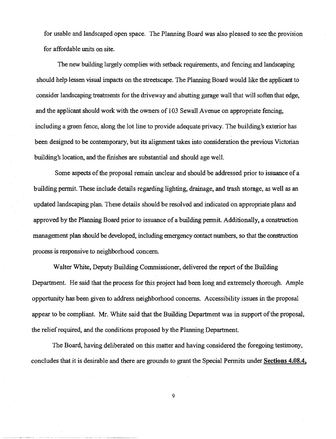for usable and landscaped open space. The Planning Board was also pleased to see the provision for affordable units on site.

The new building largely complies with setback requirements, and fencing and landscaping should help lessen visual impacts on the streetscape. The Planning Board would like the applicant to consider landscaping treatments for the driveway and abutting garage wall that will soften that edge, and the applicant should work with the owners of 103 Sewall A venue on appropriate fencing, including a green fence, along the lot line to provide adequate privacy. The building's exterior has been designed to be contemporary, but its alignment takes into consideration the previous Victorian building's location, and the finishes are substantial and should age well.

Some aspects of the proposal remain unclear and should be addressed prior to issuance of a building permit. These include details regarding lighting, drainage, and trash storage, as well as an updated landscaping plan. These details should be resolved and indicated on appropriate plans and approved by the Planning Board prior to issuance of a building permit. Additionally, a construction management plan should be developed, including emergency contact numbers, so that the construction process is responsive to neighborhood concern.

Walter White, Deputy Building Commissioner, delivered the report of the Building Department. He said that the process for this project had been long and extremely thorough. Ample opportunity has been given to address neighborhood concerns. Accessibility issues in the proposal appear to be compliant. Mr. White said that the Building Department was in support of the proposal, the relief required, and the conditions proposed by the Planning Department.

The Board, having deliberated on this matter and having considered the foregoing testimony, concludes that it is desirable and there are grounds to grant the Special Permits under **Sections 4.08.4,** 

9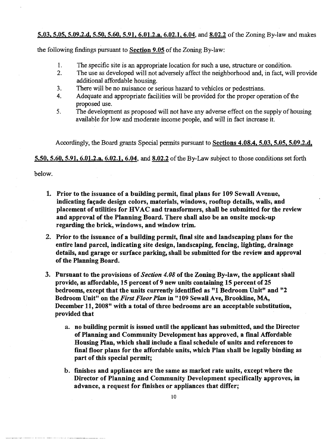#### 5.03, 5.05, 5.09.2.d, 5.50, 5.60, 5.91, 6.01.2.a, 6.02.1, 6.04, and 8.02.2 of the Zoning By-law and makes

the following findings pursuant to Section  $9.05$  of the Zoning By-law:

- 1. The specific site is an appropriate location for such a use, structure or condition.
- 2. The use as developed will not adversely affect the neighborhood and, in fact, will provide additional affordable housing.
- 3. There will be no nuisance or serious hazard to vehicles or pedestrians.
- 4. Adequate and appropriate facilities will be provided for the proper operation of the proposed use.
- 5. The development as proposed will not have any adverse effect on the supply of housing available for low and moderate income people, and will in fact increase it.

Accordingly, the Board grants Special permits pursuant to Sections 4.08.4, 5.03, 5.05, 5.09.2.d,

5.50, 5.60, 5.91, 6.01.2.a, 6.02.1, 6.04, and 8.02.2 of the By-Law subject to those conditions set forth

below.

- 1. Prior to the issuance of a building permit, final plans for 109 Sewall Avenue, indicating façade design colors, materials, windows, rooftop details, walls, and placement of utilities for HVAC and transformers, shall be submitted for the review and approval of the Planning Board. There shall also be an onsite mock-up regarding the brick, windows, and window trim.
- 2. Prior to the issuance of a building permit, final site and landscaping plans for the entire land parcel, indicating site design, landscaping, fencing, lighting, drainage details, and garage or surface parking, shall be submitted for the review and approval of the Planning Board.
- 3. Pursuant to the provisions of *Section 4.08* of the Zoning By-law, the applicant shall provide, as affordable, 15 percent of 9 new units containing 15 percent of 25 bedrooms, except that the units currently identified as "1 Bedroom Unit" and "2 Bedroom Unit" on the *First Floor PIan* in "109 Sewall. Ave, Brookline, MA, December 11,2008" with a total of three bedrooms are an acceptable substitution, provided that
	- a. no building permit is issued until the applicant has submitted, and the Director of Planning and Community Development has approved, a fmal Affordable Housing Plan, which shall include a fmal schedule of units and references to fmal floor plans for the affordable units, which Plan shall be legally binding as part of this special permit;
	- b. fmishes and appliances are the same as market rate units, except where the Director of Planning and Community Development specifically approves, in advance, a request for finishes or appliances that differ;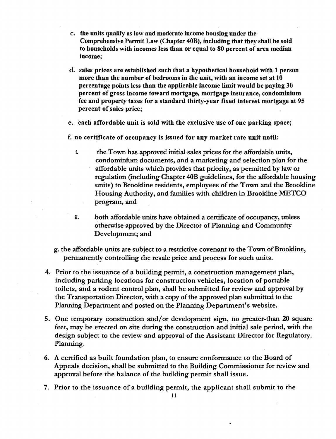- c. the units qualify as low and moderate income housing under the Comprehensive Permit Law (Chapter 40B), including that they shall be sold to households with incomes less than or equal to 80 percent of area median income;
- d. sales prices are established such that a hypothetical household with 1 person more than the number of bedrooms in the unit, with an income set at 10 percentage points less than the applicable income limit would be paying 30 percent of gross income toward mortgage, mortgage insurance, condominium fee and property taxes for a standard thirty-year fixed interest mortgage at 95 percent of sales price;
- e. each affordable unit is sold with the exclusive use of one parking space;
- f. no certificate of occupancy is issued for any market rate unit until:
	- i. the Town has approved initial sales prices for the affordable units, condominium documents, and a marketing and selection plan for the affordable units which provides that priority, as permitted by law or regulation (including Chapter 40B guidelines, for the affordable housing units) to Brookline residents, employees of the Town and the Brookline Housing Authority, and families with children in Brookline METCO program, and
	- ii. both affordable units have obtained a certificate of occupancy, unless otherwise approved by the Director of Planning and Community Development; and
- g. theafIordable units are subject to a restrictive covenant to the Town ofBrookline, permanently controlling the resale price and process for such units.
- 4. Prior to the issuance of a building permit, a construction management plan, including parking locations for construction vehicles, location of portable toilets, and a rodent control plan, shall be submitted for review and approval by the Transportation Director, with a copy of the approved plan submitted to the Planning Department and posted on the Planning Department's website.
- 5. One temporary construction and/or development sign, no greater-than 20 square feet, may be erected on site during the construction and initial sale period, with the design subject to the review and approval of the Assistant Director for Regulatory. Planning.
- 6. A certified as built foundation plan, to ensure conformance to the Board of Appeals decision, shall be submitted to the Building Commissioner for review and approval before the balance of the building permit shall issue.
- 7. Prior to the issuance of a building permit, the applicant shall submit to the